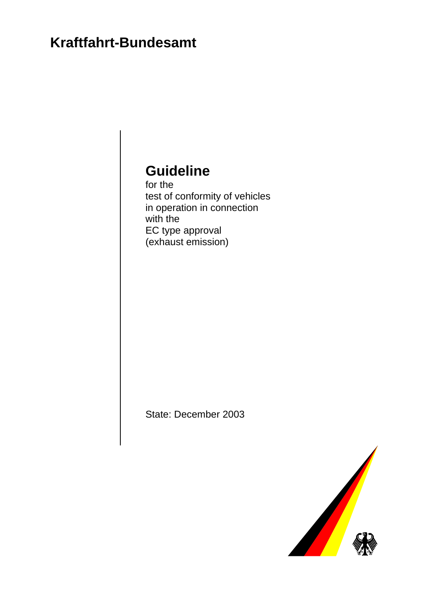# **Kraftfahrt-Bundesamt**

# **Guideline**

for the test of conformity of vehicles in operation in connection with the EC type approval (exhaust emission)

State: December 2003

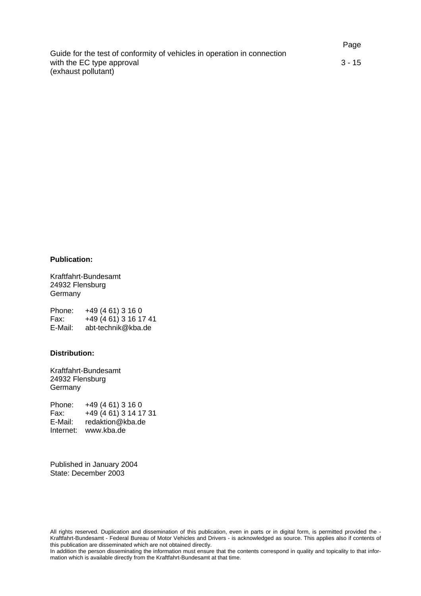Page Guide for the test of conformity of vehicles in operation in connection with the EC type approval 3 - 15 (exhaust pollutant)

#### **Publication:**

Kraftfahrt-Bundesamt 24932 Flensburg Germany

Phone: +49 (4 61) 3 16 0 Fax: +49 (4 61) 3 16 17 41 E-Mail: abt-technik@kba.de

#### **Distribution:**

Kraftfahrt-Bundesamt 24932 Flensburg Germany

Phone: +49 (4 61) 3 16 0 Fax: +49 (4 61) 3 14 17 31 E-Mail: redaktion@kba.de Internet: www.kba.de

Published in January 2004 State: December 2003

All rights reserved. Duplication and dissemination of this publication, even in parts or in digital form, is permitted provided the - Kraftfahrt-Bundesamt - Federal Bureau of Motor Vehicles and Drivers - is acknowledged as source. This applies also if contents of this publication are disseminated which are not obtained directly.

In addition the person disseminating the information must ensure that the contents correspond in quality and topicality to that information which is available directly from the Kraftfahrt-Bundesamt at that time.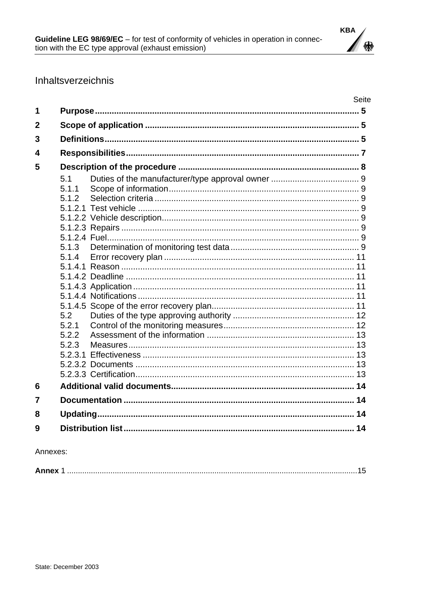

# Inhaltsverzeichnis

|   |       | Seite |
|---|-------|-------|
| 1 |       |       |
| 2 |       |       |
| 3 |       |       |
| 4 |       |       |
| 5 |       |       |
|   | 5.1   |       |
|   | 5.1.1 |       |
|   | 5.1.2 |       |
|   |       |       |
|   |       |       |
|   |       |       |
|   |       |       |
|   | 5.1.3 |       |
|   | 5.1.4 |       |
|   |       |       |
|   |       |       |
|   |       |       |
|   |       |       |
|   | 5.2   |       |
|   | 5.2.1 |       |
|   | 5.2.2 |       |
|   | 5.2.3 |       |
|   |       |       |
|   |       |       |
|   |       |       |
| 6 |       |       |
| 7 |       |       |
| 8 |       |       |
| 9 |       |       |

Annexes:

| Annex |
|-------|
|-------|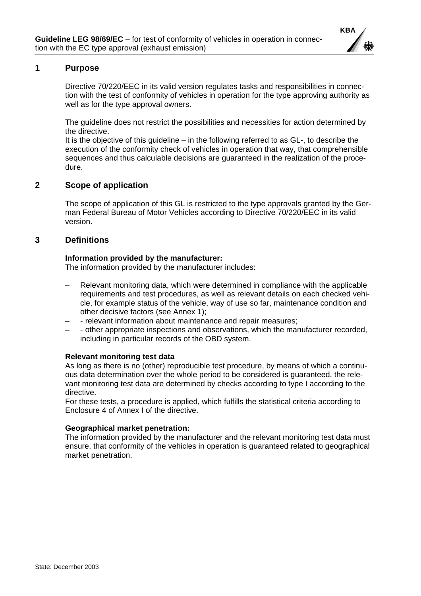

# <span id="page-3-0"></span>**1 Purpose**

Directive 70/220/EEC in its valid version regulates tasks and responsibilities in connection with the test of conformity of vehicles in operation for the type approving authority as well as for the type approval owners.

The guideline does not restrict the possibilities and necessities for action determined by the directive.

It is the objective of this guideline – in the following referred to as GL-, to describe the execution of the conformity check of vehicles in operation that way, that comprehensible sequences and thus calculable decisions are guaranteed in the realization of the procedure.

# **2 Scope of application**

The scope of application of this GL is restricted to the type approvals granted by the German Federal Bureau of Motor Vehicles according to Directive 70/220/EEC in its valid version.

# **3 Definitions**

#### **Information provided by the manufacturer:**

The information provided by the manufacturer includes:

- Relevant monitoring data, which were determined in compliance with the applicable requirements and test procedures, as well as relevant details on each checked vehicle, for example status of the vehicle, way of use so far, maintenance condition and other decisive factors (see Annex 1);
- - relevant information about maintenance and repair measures;
- - other appropriate inspections and observations, which the manufacturer recorded, including in particular records of the OBD system.

# **Relevant monitoring test data**

As long as there is no (other) reproducible test procedure, by means of which a continuous data determination over the whole period to be considered is guaranteed, the relevant monitoring test data are determined by checks according to type I according to the directive.

For these tests, a procedure is applied, which fulfills the statistical criteria according to Enclosure 4 of Annex I of the directive.

#### **Geographical market penetration:**

The information provided by the manufacturer and the relevant monitoring test data must ensure, that conformity of the vehicles in operation is guaranteed related to geographical market penetration.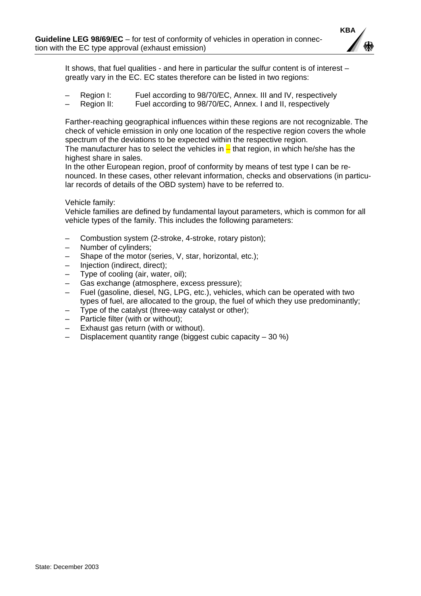

It shows, that fuel qualities - and here in particular the sulfur content is of interest – greatly vary in the EC. EC states therefore can be listed in two regions:

- Region I: Fuel according to 98/70/EC, Annex. III and IV, respectively
- Region II: Fuel according to 98/70/EC, Annex. I and II, respectively

Farther-reaching geographical influences within these regions are not recognizable. The check of vehicle emission in only one location of the respective region covers the whole spectrum of the deviations to be expected within the respective region.

The manufacturer has to select the vehicles in  $\frac{1}{x}$  that region, in which he/she has the highest share in sales.

In the other European region, proof of conformity by means of test type I can be renounced. In these cases, other relevant information, checks and observations (in particular records of details of the OBD system) have to be referred to.

Vehicle family:

Vehicle families are defined by fundamental layout parameters, which is common for all vehicle types of the family. This includes the following parameters:

- Combustion system (2-stroke, 4-stroke, rotary piston);
- Number of cylinders;
- Shape of the motor (series, V, star, horizontal, etc.);
- Injection (indirect, direct);
- Type of cooling (air, water, oil);
- Gas exchange (atmosphere, excess pressure);
- Fuel (gasoline, diesel, NG, LPG, etc.), vehicles, which can be operated with two types of fuel, are allocated to the group, the fuel of which they use predominantly;
- Type of the catalyst (three-way catalyst or other);
- Particle filter (with or without);
- Exhaust gas return (with or without).
- Displacement quantity range (biggest cubic capacity  $-30\%$ )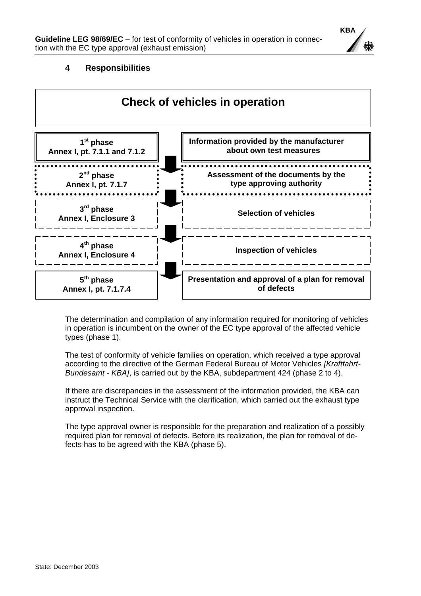

# **4 Responsibilities**

<span id="page-5-0"></span>

The determination and compilation of any information required for monitoring of vehicles in operation is incumbent on the owner of the EC type approval of the affected vehicle types (phase 1).

The test of conformity of vehicle families on operation, which received a type approval according to the directive of the German Federal Bureau of Motor Vehicles *[Kraftfahrt-Bundesamt - KBA]*, is carried out by the KBA, subdepartment 424 (phase 2 to 4).

If there are discrepancies in the assessment of the information provided, the KBA can instruct the Technical Service with the clarification, which carried out the exhaust type approval inspection.

The type approval owner is responsible for the preparation and realization of a possibly required plan for removal of defects. Before its realization, the plan for removal of defects has to be agreed with the KBA (phase 5).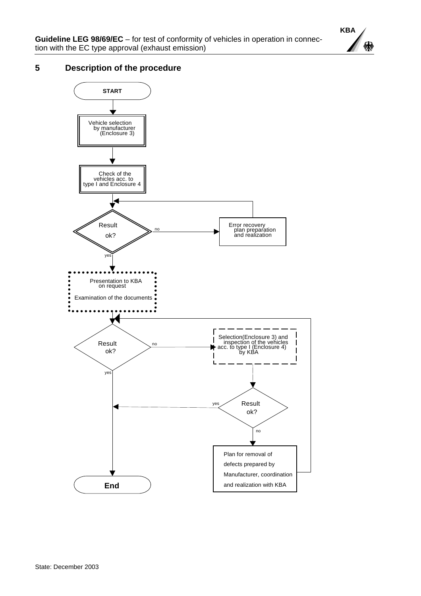

# <span id="page-6-0"></span>**5 Description of the procedure**

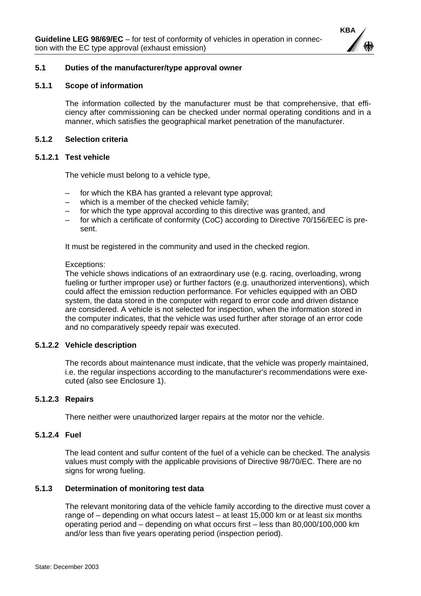

#### <span id="page-7-0"></span>**5.1 Duties of the manufacturer/type approval owner**

#### **5.1.1 Scope of information**

The information collected by the manufacturer must be that comprehensive, that efficiency after commissioning can be checked under normal operating conditions and in a manner, which satisfies the geographical market penetration of the manufacturer.

#### **5.1.2 Selection criteria**

#### **5.1.2.1 Test vehicle**

The vehicle must belong to a vehicle type,

- for which the KBA has granted a relevant type approval;
- which is a member of the checked vehicle family;
- for which the type approval according to this directive was granted, and
- for which a certificate of conformity (CoC) according to Directive 70/156/EEC is present.

It must be registered in the community and used in the checked region.

#### Exceptions:

The vehicle shows indications of an extraordinary use (e.g. racing, overloading, wrong fueling or further improper use) or further factors (e.g. unauthorized interventions), which could affect the emission reduction performance. For vehicles equipped with an OBD system, the data stored in the computer with regard to error code and driven distance are considered. A vehicle is not selected for inspection, when the information stored in the computer indicates, that the vehicle was used further after storage of an error code and no comparatively speedy repair was executed.

#### **5.1.2.2 Vehicle description**

The records about maintenance must indicate, that the vehicle was properly maintained, i.e. the regular inspections according to the manufacturer's recommendations were executed (also see Enclosure 1).

#### **5.1.2.3 Repairs**

There neither were unauthorized larger repairs at the motor nor the vehicle.

#### **5.1.2.4 Fuel**

The lead content and sulfur content of the fuel of a vehicle can be checked. The analysis values must comply with the applicable provisions of Directive 98/70/EC. There are no signs for wrong fueling.

# **5.1.3 Determination of monitoring test data**

The relevant monitoring data of the vehicle family according to the directive must cover a range of – depending on what occurs latest – at least 15,000 km or at least six months operating period and – depending on what occurs first – less than 80,000/100,000 km and/or less than five years operating period (inspection period).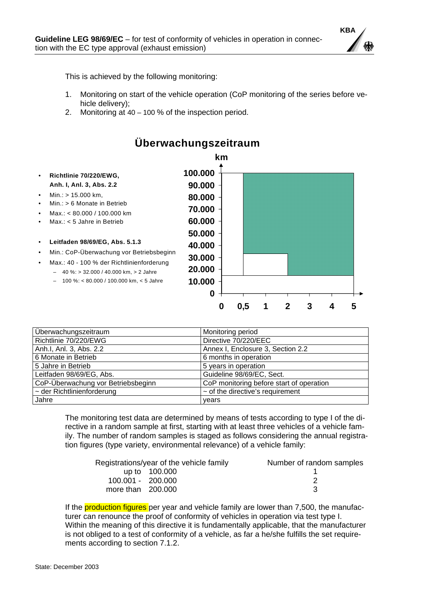

This is achieved by the following monitoring:

- 1. Monitoring on start of the vehicle operation (CoP monitoring of the series before vehicle delivery);
- 2. Monitoring at 40 100 % of the inspection period.



| Überwachungszeitraum               | Monitoring period                        |
|------------------------------------|------------------------------------------|
| Richtlinie 70/220/EWG              | Directive 70/220/EEC                     |
| Anh.I, Anl. 3, Abs. 2.2            | Annex I, Enclosure 3, Section 2.2        |
| 6 Monate in Betrieb                | 6 months in operation                    |
| 5 Jahre in Betrieb                 | 5 years in operation                     |
| Leitfaden 98/69/EG, Abs.           | Guideline 98/69/EC, Sect.                |
| CoP-Überwachung vor Betriebsbeginn | CoP monitoring before start of operation |
| $\sim$ der Richtlinienforderung    | $\sim$ of the directive's requirement    |
| Jahre                              | vears                                    |

The monitoring test data are determined by means of tests according to type I of the directive in a random sample at first, starting with at least three vehicles of a vehicle family. The number of random samples is staged as follows considering the annual registration figures (type variety, environmental relevance) of a vehicle family:

|                     | Registrations/year of the vehicle family | Number of random samples |
|---------------------|------------------------------------------|--------------------------|
|                     | up to 100.000                            |                          |
| 100.001 - 200.000   |                                          |                          |
| more than $200.000$ |                                          |                          |

If the **production figures** per year and vehicle family are lower than 7,500, the manufacturer can renounce the proof of conformity of vehicles in operation via test type I. Within the meaning of this directive it is fundamentally applicable, that the manufacturer is not obliged to a test of conformity of a vehicle, as far a he/she fulfills the set requirements according to section 7.1.2.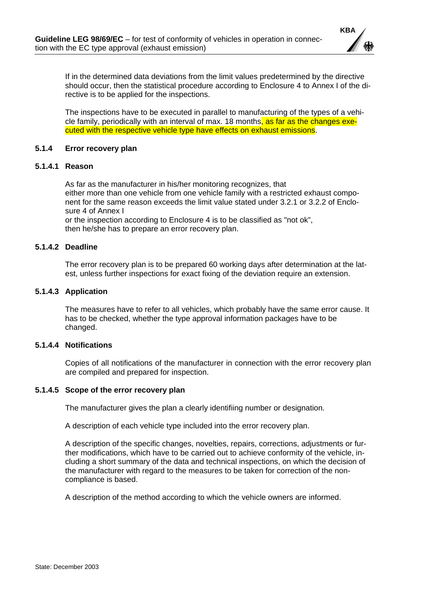

<span id="page-9-0"></span>If in the determined data deviations from the limit values predetermined by the directive should occur, then the statistical procedure according to Enclosure 4 to Annex I of the directive is to be applied for the inspections.

The inspections have to be executed in parallel to manufacturing of the types of a vehicle family, periodically with an interval of max. 18 months, as far as the changes executed with the respective vehicle type have effects on exhaust emissions.

#### **5.1.4 Error recovery plan**

#### **5.1.4.1 Reason**

As far as the manufacturer in his/her monitoring recognizes, that either more than one vehicle from one vehicle family with a restricted exhaust component for the same reason exceeds the limit value stated under 3.2.1 or 3.2.2 of Enclosure 4 of Annex I

or the inspection according to Enclosure 4 is to be classified as "not ok", then he/she has to prepare an error recovery plan.

# **5.1.4.2 Deadline**

The error recovery plan is to be prepared 60 working days after determination at the latest, unless further inspections for exact fixing of the deviation require an extension.

#### **5.1.4.3 Application**

The measures have to refer to all vehicles, which probably have the same error cause. It has to be checked, whether the type approval information packages have to be changed.

#### **5.1.4.4 Notifications**

Copies of all notifications of the manufacturer in connection with the error recovery plan are compiled and prepared for inspection.

#### **5.1.4.5 Scope of the error recovery plan**

The manufacturer gives the plan a clearly identifiing number or designation.

A description of each vehicle type included into the error recovery plan.

A description of the specific changes, novelties, repairs, corrections, adjustments or further modifications, which have to be carried out to achieve conformity of the vehicle, including a short summary of the data and technical inspections, on which the decision of the manufacturer with regard to the measures to be taken for correction of the noncompliance is based.

A description of the method according to which the vehicle owners are informed.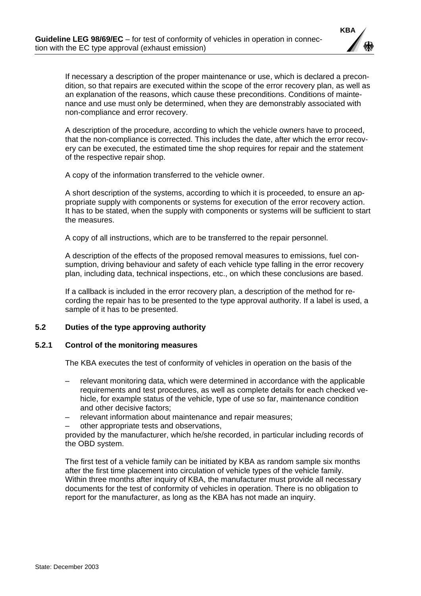

<span id="page-10-0"></span>If necessary a description of the proper maintenance or use, which is declared a precondition, so that repairs are executed within the scope of the error recovery plan, as well as an explanation of the reasons, which cause these preconditions. Conditions of maintenance and use must only be determined, when they are demonstrably associated with non-compliance and error recovery.

A description of the procedure, according to which the vehicle owners have to proceed, that the non-compliance is corrected. This includes the date, after which the error recovery can be executed, the estimated time the shop requires for repair and the statement of the respective repair shop.

A copy of the information transferred to the vehicle owner.

A short description of the systems, according to which it is proceeded, to ensure an appropriate supply with components or systems for execution of the error recovery action. It has to be stated, when the supply with components or systems will be sufficient to start the measures.

A copy of all instructions, which are to be transferred to the repair personnel.

A description of the effects of the proposed removal measures to emissions, fuel consumption, driving behaviour and safety of each vehicle type falling in the error recovery plan, including data, technical inspections, etc., on which these conclusions are based.

If a callback is included in the error recovery plan, a description of the method for recording the repair has to be presented to the type approval authority. If a label is used, a sample of it has to be presented.

# **5.2 Duties of the type approving authority**

#### **5.2.1 Control of the monitoring measures**

The KBA executes the test of conformity of vehicles in operation on the basis of the

- relevant monitoring data, which were determined in accordance with the applicable requirements and test procedures, as well as complete details for each checked vehicle, for example status of the vehicle, type of use so far, maintenance condition and other decisive factors;
- relevant information about maintenance and repair measures;
- other appropriate tests and observations,

provided by the manufacturer, which he/she recorded, in particular including records of the OBD system.

The first test of a vehicle family can be initiated by KBA as random sample six months after the first time placement into circulation of vehicle types of the vehicle family. Within three months after inquiry of KBA, the manufacturer must provide all necessary documents for the test of conformity of vehicles in operation. There is no obligation to report for the manufacturer, as long as the KBA has not made an inquiry.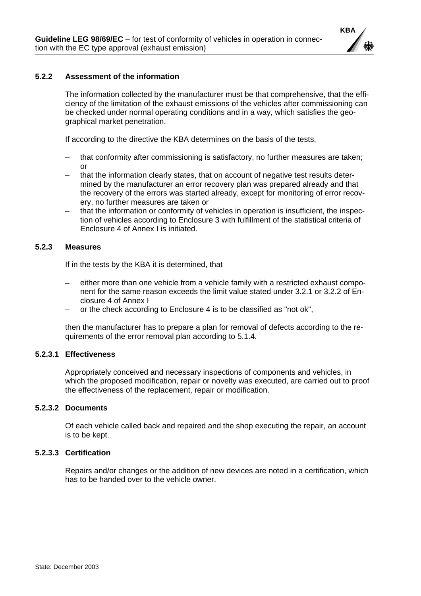

# <span id="page-11-0"></span>**5.2.2 Assessment of the information**

The information collected by the manufacturer must be that comprehensive, that the efficiency of the limitation of the exhaust emissions of the vehicles after commissioning can be checked under normal operating conditions and in a way, which satisfies the geographical market penetration.

If according to the directive the KBA determines on the basis of the tests,

- that conformity after commissioning is satisfactory, no further measures are taken; or
- that the information clearly states, that on account of negative test results determined by the manufacturer an error recovery plan was prepared already and that the recovery of the errors was started already, except for monitoring of error recovery, no further measures are taken or
- that the information or conformity of vehicles in operation is insufficient, the inspection of vehicles according to Enclosure 3 with fulfillment of the statistical criteria of Enclosure 4 of Annex I is initiated.

#### **5.2.3 Measures**

If in the tests by the KBA it is determined, that

- either more than one vehicle from a vehicle family with a restricted exhaust component for the same reason exceeds the limit value stated under 3.2.1 or 3.2.2 of Enclosure 4 of Annex I
- or the check according to Enclosure 4 is to be classified as "not ok",

then the manufacturer has to prepare a plan for removal of defects according to the requirements of the error removal plan according to 5.1.4.

#### **5.2.3.1 Effectiveness**

Appropriately conceived and necessary inspections of components and vehicles, in which the proposed modification, repair or novelty was executed, are carried out to proof the effectiveness of the replacement, repair or modification.

# **5.2.3.2 Documents**

Of each vehicle called back and repaired and the shop executing the repair, an account is to be kept.

# **5.2.3.3 Certification**

Repairs and/or changes or the addition of new devices are noted in a certification, which has to be handed over to the vehicle owner.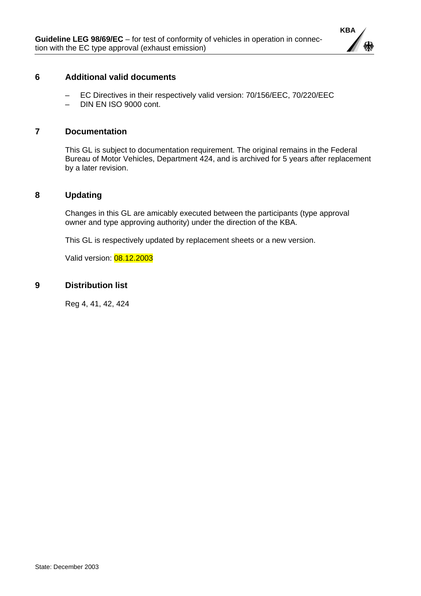

# <span id="page-12-0"></span>**6 Additional valid documents**

- EC Directives in their respectively valid version: 70/156/EEC, 70/220/EEC
- DIN EN ISO 9000 cont.

# **7 Documentation**

This GL is subject to documentation requirement. The original remains in the Federal Bureau of Motor Vehicles, Department 424, and is archived for 5 years after replacement by a later revision.

# **8 Updating**

Changes in this GL are amicably executed between the participants (type approval owner and type approving authority) under the direction of the KBA.

This GL is respectively updated by replacement sheets or a new version.

Valid version: 08.12.2003

# **9 Distribution list**

Reg 4, 41, 42, 424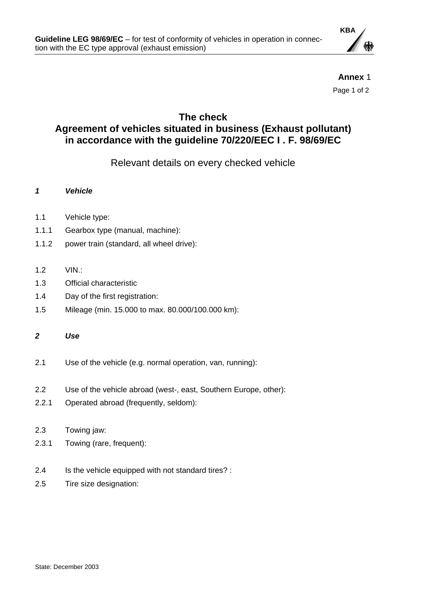

**Annex** 1 Page 1 of 2

# <span id="page-13-0"></span>**The check Agreement of vehicles situated in business (Exhaust pollutant) in accordance with the guideline 70/220/EEC I . F. 98/69/EC**

Relevant details on every checked vehicle

- *1 Vehicle*
- 1.1 Vehicle type:
- 1.1.1 Gearbox type (manual, machine):
- 1.1.2 power train (standard, all wheel drive):
- 1.2 VIN.:
- 1.3 Official characteristic
- 1.4 Day of the first registration:
- 1.5 Mileage (min. 15.000 to max. 80.000/100.000 km):

*2 Use* 

- 2.1 Use of the vehicle (e.g. normal operation, van, running):
- 2.2 Use of the vehicle abroad (west-, east, Southern Europe, other):
- 2.2.1 Operated abroad (frequently, seldom):
- 2.3 Towing jaw:
- 2.3.1 Towing (rare, frequent):
- 2.4 Is the vehicle equipped with not standard tires? :
- 2.5 Tire size designation: